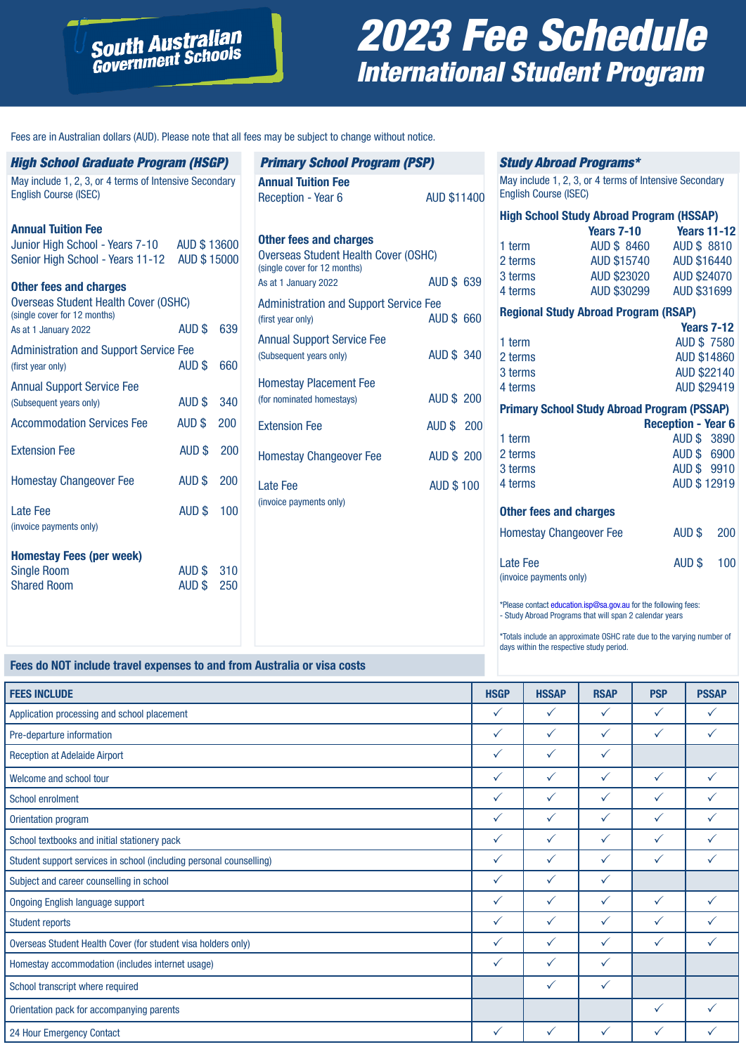# 2023 Fee Schedule International Student Program

Fees are in Australian dollars (AUD). Please note that all fees may be subject to change without notice.

**South Australian**<br>Government Schools

| <b>High School Graduate Program (HSGP)</b>                                                   |                  |            |
|----------------------------------------------------------------------------------------------|------------------|------------|
| May include 1, 2, 3, or 4 terms of Intensive Secondary<br><b>English Course (ISEC)</b>       |                  |            |
| <b>Annual Tuition Fee</b>                                                                    |                  |            |
| Junior High School - Years 7-10 AUD \$13600<br>Senior High School - Years 11-12 AUD \$ 15000 |                  |            |
| <b>Other fees and charges</b>                                                                |                  |            |
| <b>Overseas Student Health Cover (OSHC)</b><br>(single cover for 12 months)                  |                  |            |
| As at 1 January 2022                                                                         | AUD \$           | 639        |
| <b>Administration and Support Service Fee</b><br>(first year only)                           | AUD \$           | 660        |
| <b>Annual Support Service Fee</b><br>(Subsequent years only)                                 | AUD \$           | 340        |
| <b>Accommodation Services Fee</b>                                                            | AUD \$           | 200        |
| <b>Extension Fee</b>                                                                         | AUD \$           | 200        |
| <b>Homestay Changeover Fee</b>                                                               | AUD \$           | 200        |
| I ate Fee<br>(invoice payments only)                                                         | AUD \$           | 100        |
| <b>Homestay Fees (per week)</b>                                                              |                  |            |
| <b>Single Room</b><br><b>Shared Room</b>                                                     | AUD \$<br>AUD \$ | 310<br>250 |
|                                                                                              |                  |            |
|                                                                                              |                  |            |

| <b>Primary School Program (PSP)</b>                                                                   |                    |  |  |  |
|-------------------------------------------------------------------------------------------------------|--------------------|--|--|--|
| <b>Annual Tuition Fee</b><br><b>Reception - Year 6</b>                                                | <b>AUD \$11400</b> |  |  |  |
| Other fees and charges<br><b>Overseas Student Health Cover (OSHC)</b><br>(single cover for 12 months) |                    |  |  |  |
| As at 1 January 2022                                                                                  | AUD \$ 639         |  |  |  |
| <b>Administration and Support Service Fee</b><br>(first year only)                                    | <b>AUD \$ 660</b>  |  |  |  |
| <b>Annual Support Service Fee</b><br>(Subsequent years only)                                          | <b>AUD \$ 340</b>  |  |  |  |
| <b>Homestay Placement Fee</b><br>(for nominated homestays)                                            | <b>AUD \$ 200</b>  |  |  |  |
| <b>Extension Fee</b>                                                                                  | <b>AUD \$ 200</b>  |  |  |  |
| <b>Homestay Changeover Fee</b>                                                                        | <b>AUD \$200</b>   |  |  |  |
| Late Fee<br>(invoice payments only)                                                                   | <b>AUD \$100</b>   |  |  |  |
|                                                                                                       |                    |  |  |  |

#### Study Abroad Programs\*

May include 1, 2, 3, or 4 terms of Intensive Secondary English Course (ISEC)

| <b>High School Study Abroad Program (HSSAP)</b>    |                               |                           |                    |  |  |  |
|----------------------------------------------------|-------------------------------|---------------------------|--------------------|--|--|--|
|                                                    | <b>Years 7-10</b> Years 11-12 |                           |                    |  |  |  |
| 1 term                                             | AUD \$8460 AUD \$8810         |                           |                    |  |  |  |
| 2 terms                                            | AUD \$15740 AUD \$16440       |                           |                    |  |  |  |
| 3 terms                                            | AUD \$23020 AUD \$24070       |                           |                    |  |  |  |
| 4 terms                                            | AUD \$30299 AUD \$31699       |                           |                    |  |  |  |
| <b>Regional Study Abroad Program (RSAP)</b>        |                               |                           |                    |  |  |  |
|                                                    |                               |                           | <b>Years 7-12</b>  |  |  |  |
| 1 term                                             |                               |                           | <b>AUD \$7580</b>  |  |  |  |
| 2 terms                                            |                               |                           | <b>AUD \$14860</b> |  |  |  |
| 3 terms                                            |                               |                           | AUD \$22140        |  |  |  |
| 4 terms                                            |                               |                           | AUD \$29419        |  |  |  |
| <b>Primary School Study Abroad Program (PSSAP)</b> |                               |                           |                    |  |  |  |
|                                                    |                               | <b>Reception - Year 6</b> |                    |  |  |  |
| 1 term                                             |                               | AUD \$ 3890               |                    |  |  |  |
| 2 terms                                            |                               | AUD \$ 6900               |                    |  |  |  |
| 3 terms                                            |                               | AUD \$9910                |                    |  |  |  |
| 4 terms                                            |                               | AUD \$12919               |                    |  |  |  |
| <b>Other fees and charges</b>                      |                               |                           |                    |  |  |  |
| <b>Homestay Changeover Fee</b>                     |                               | AUD \$                    | 200                |  |  |  |
| Late Fee                                           |                               | AUD \$                    | 100                |  |  |  |
| (invoice payments only)                            |                               |                           |                    |  |  |  |

\*Please contact education.isp@sa.gov.au for the following fees: - Study Abroad Programs that will span 2 calendar years

\*Totals include an approximate OSHC rate due to the varying number of days within the respective study period.

## **Fees do NOT include travel expenses to and from Australia or visa costs**

| <b>FEES INCLUDE</b>                                                 | <b>HSGP</b>  | <b>HSSAP</b> | <b>RSAP</b>  | <b>PSP</b>   | <b>PSSAP</b> |
|---------------------------------------------------------------------|--------------|--------------|--------------|--------------|--------------|
| Application processing and school placement                         | $\checkmark$ | $\checkmark$ | $\checkmark$ | $\checkmark$ | $\checkmark$ |
| Pre-departure information                                           | $\checkmark$ | $\checkmark$ | ✓            | $\checkmark$ |              |
| <b>Reception at Adelaide Airport</b>                                | ✓            | $\checkmark$ | ✓            |              |              |
| Welcome and school tour                                             | $\checkmark$ | $\checkmark$ | $\checkmark$ | $\checkmark$ | $\checkmark$ |
| <b>School enrolment</b>                                             | $\checkmark$ | $\checkmark$ | ✓            | $\checkmark$ | ✓            |
| Orientation program                                                 | ✓            | $\checkmark$ | ✓            | $\checkmark$ | ✓            |
| School textbooks and initial stationery pack                        | $\checkmark$ | $\checkmark$ | $\checkmark$ | $\checkmark$ | ✓            |
| Student support services in school (including personal counselling) | ✓            | $\checkmark$ | ✓            | $\checkmark$ | ✓            |
| Subject and career counselling in school                            | $\checkmark$ | $\checkmark$ | $\checkmark$ |              |              |
| <b>Ongoing English language support</b>                             | $\checkmark$ | $\checkmark$ | ✓            | $\checkmark$ | ✓            |
| <b>Student reports</b>                                              | $\checkmark$ | $\checkmark$ | $\checkmark$ | $\checkmark$ | $\checkmark$ |
| Overseas Student Health Cover (for student visa holders only)       | $\checkmark$ | $\checkmark$ | $\checkmark$ | $\checkmark$ | ✓            |
| Homestay accommodation (includes internet usage)                    | $\checkmark$ | $\checkmark$ | ✓            |              |              |
| School transcript where required                                    |              | $\checkmark$ | ✓            |              |              |
| Orientation pack for accompanying parents                           |              |              |              | $\checkmark$ | $\checkmark$ |
| 24 Hour Emergency Contact                                           | ✓            | $\checkmark$ | ✓            | $\checkmark$ |              |